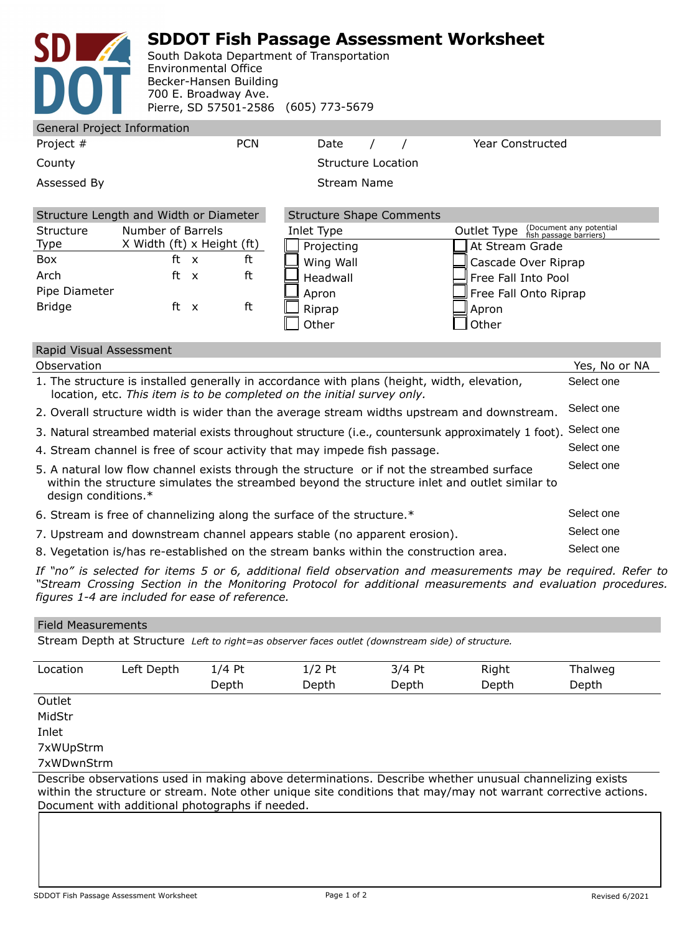## **SDDOT Fish Passage Assessment Worksheet**

South Dakota Department of Transportation Environmental Office Becker-Hansen Building 700 E. Broadway Ave. Pierre, SD 57501-2586 (605) 773-5679

| <b>General Project Information</b> |                                                      |                                 |                                                                                     |
|------------------------------------|------------------------------------------------------|---------------------------------|-------------------------------------------------------------------------------------|
| Project #                          | <b>PCN</b>                                           | Date                            | <b>Year Constructed</b>                                                             |
| County                             |                                                      | <b>Structure Location</b>       |                                                                                     |
| Assessed By                        |                                                      | <b>Stream Name</b>              |                                                                                     |
|                                    | Structure Length and Width or Diameter               | <b>Structure Shape Comments</b> |                                                                                     |
| <b>Structure</b><br><b>Type</b>    | Number of Barrels<br>X Width (ft) x Height (ft)      | Inlet Type<br>Projecting        | (Document any potential<br>fish passage barriers)<br>Outlet Type<br>At Stream Grade |
| Box<br>Arch                        | ft<br>ft<br>$\mathsf{x}$<br>ft<br>ft<br>$\mathsf{X}$ | Wing Wall                       | Cascade Over Riprap                                                                 |
| Pipe Diameter                      |                                                      | Headwall<br>Apron               | Free Fall Into Pool<br>Free Fall Onto Riprap                                        |
| <b>Bridge</b>                      | ft<br>ft<br>$\mathsf{X}$                             | Riprap<br>Other                 | Apron<br>Other                                                                      |

| Rapid Visual Assessment                                                                                                                                                                                            |               |
|--------------------------------------------------------------------------------------------------------------------------------------------------------------------------------------------------------------------|---------------|
| Observation                                                                                                                                                                                                        | Yes, No or NA |
| 1. The structure is installed generally in accordance with plans (height, width, elevation,<br>location, etc. This item is to be completed on the initial survey only.                                             | Select one    |
| 2. Overall structure width is wider than the average stream widths upstream and downstream.                                                                                                                        | Select one    |
| 3. Natural streambed material exists throughout structure (i.e., countersunk approximately 1 foot).                                                                                                                | Select one    |
| 4. Stream channel is free of scour activity that may impede fish passage.                                                                                                                                          | Select one    |
| 5. A natural low flow channel exists through the structure or if not the streambed surface<br>within the structure simulates the streambed beyond the structure inlet and outlet similar to<br>design conditions.* | Select one    |
| 6. Stream is free of channelizing along the surface of the structure.*                                                                                                                                             | Select one    |
| 7. Upstream and downstream channel appears stable (no apparent erosion).                                                                                                                                           | Select one    |
| 8. Vegetation is/has re-established on the stream banks within the construction area.                                                                                                                              | Select one    |

*If "no" is selected for items 5 or 6, additional field observation and measurements may be required. Refer to "Stream Crossing Section in the Monitoring Protocol for additional measurements and evaluation procedures. figures 1-4 are included for ease of reference.*

## Field Measurements

Stream Depth at Structure *Left to right=as observer faces outlet (downstream side) of structure.*

| Location   | Left Depth | $1/4$ Pt                                                                                                                                                                                                                                                                     | $1/2$ Pt | $3/4$ Pt | Right | <b>Thalweg</b> |
|------------|------------|------------------------------------------------------------------------------------------------------------------------------------------------------------------------------------------------------------------------------------------------------------------------------|----------|----------|-------|----------------|
|            |            | Depth                                                                                                                                                                                                                                                                        | Depth    | Depth    | Depth | Depth          |
| Outlet     |            |                                                                                                                                                                                                                                                                              |          |          |       |                |
| MidStr     |            |                                                                                                                                                                                                                                                                              |          |          |       |                |
| Inlet      |            |                                                                                                                                                                                                                                                                              |          |          |       |                |
| 7xWUpStrm  |            |                                                                                                                                                                                                                                                                              |          |          |       |                |
| 7xWDwnStrm |            |                                                                                                                                                                                                                                                                              |          |          |       |                |
|            |            | Describe observations used in making above determinations. Describe whether unusual channelizing exists<br>within the structure or stream. Note other unique site conditions that may/may not warrant corrective actions.<br>Document with additional photographs if needed. |          |          |       |                |